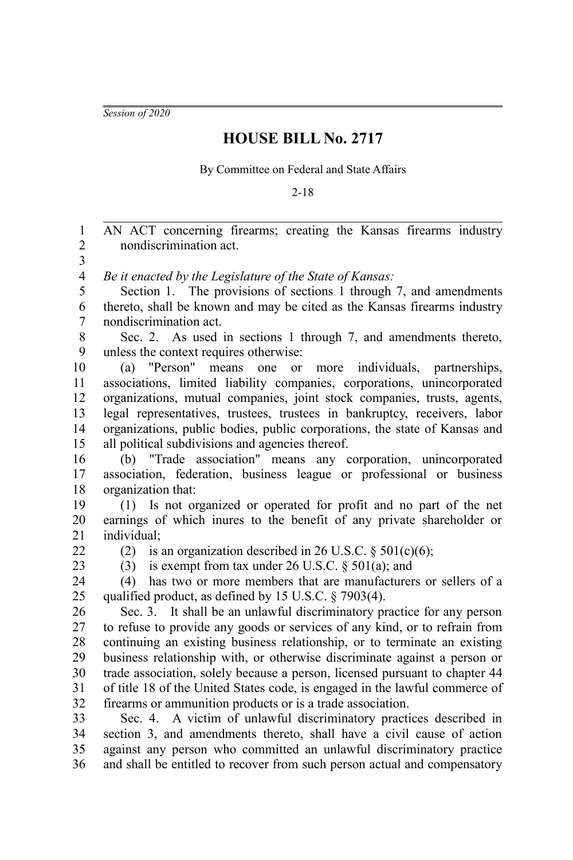*Session of 2020*

## **HOUSE BILL No. 2717**

By Committee on Federal and State Affairs

2-18

AN ACT concerning firearms; creating the Kansas firearms industry nondiscrimination act. *Be it enacted by the Legislature of the State of Kansas:* Section 1. The provisions of sections 1 through 7, and amendments thereto, shall be known and may be cited as the Kansas firearms industry nondiscrimination act. Sec. 2. As used in sections 1 through 7, and amendments thereto, unless the context requires otherwise: (a) "Person" means one or more individuals, partnerships, associations, limited liability companies, corporations, unincorporated organizations, mutual companies, joint stock companies, trusts, agents, legal representatives, trustees, trustees in bankruptcy, receivers, labor organizations, public bodies, public corporations, the state of Kansas and all political subdivisions and agencies thereof. (b) "Trade association" means any corporation, unincorporated association, federation, business league or professional or business organization that: (1) Is not organized or operated for profit and no part of the net earnings of which inures to the benefit of any private shareholder or individual; (2) is an organization described in 26 U.S.C.  $\S 501(c)(6)$ ; (3) is exempt from tax under 26 U.S.C. § 501(a); and (4) has two or more members that are manufacturers or sellers of a qualified product, as defined by 15 U.S.C. § 7903(4). Sec. 3. It shall be an unlawful discriminatory practice for any person to refuse to provide any goods or services of any kind, or to refrain from continuing an existing business relationship, or to terminate an existing business relationship with, or otherwise discriminate against a person or trade association, solely because a person, licensed pursuant to chapter 44 of title 18 of the United States code, is engaged in the lawful commerce of firearms or ammunition products or is a trade association. Sec. 4. A victim of unlawful discriminatory practices described in section 3, and amendments thereto, shall have a civil cause of action against any person who committed an unlawful discriminatory practice and shall be entitled to recover from such person actual and compensatory 1 2 3 4 5 6 7 8 9 10 11 12 13 14 15 16 17 18 19 20 21 22  $23$  $24$ 25 26 27 28 29 30 31 32 33 34 35 36